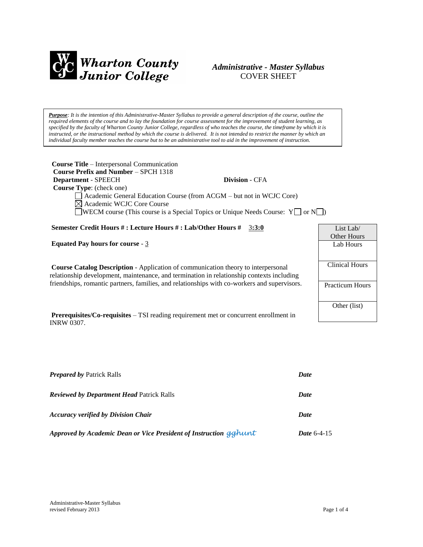

# *Administrative - Master Syllabus*  COVER SHEET

*Purpose: It is the intention of this Administrative-Master Syllabus to provide a general description of the course, outline the required elements of the course and to lay the foundation for course assessment for the improvement of student learning, as specified by the faculty of Wharton County Junior College, regardless of who teaches the course, the timeframe by which it is instructed, or the instructional method by which the course is delivered. It is not intended to restrict the manner by which an individual faculty member teaches the course but to be an administrative tool to aid in the improvement of instruction.*

| <b>Course Title – Interpersonal Communication</b><br>Course Prefix and Number - SPCH 1318                |                        |  |  |
|----------------------------------------------------------------------------------------------------------|------------------------|--|--|
| <b>Division - CFA</b><br>Department - SPEECH                                                             |                        |  |  |
| <b>Course Type:</b> (check one)                                                                          |                        |  |  |
| Academic General Education Course (from ACGM – but not in WCJC Core)<br>⊠ Academic WCJC Core Course      |                        |  |  |
| <b>NOTE:</b> WECM course (This course is a Special Topics or Unique Needs Course: $Y \Box$ or $N \Box$ ) |                        |  |  |
| Semester Credit Hours #: Lecture Hours #: Lab/Other Hours #<br>3:3:0                                     | List Lab/              |  |  |
|                                                                                                          | <b>Other Hours</b>     |  |  |
| <b>Equated Pay hours for course - 3</b>                                                                  | Lab Hours              |  |  |
|                                                                                                          |                        |  |  |
| <b>Course Catalog Description - Application of communication theory to interpersonal</b>                 | <b>Clinical Hours</b>  |  |  |
| relationship development, maintenance, and termination in relationship contexts including                |                        |  |  |
| friendships, romantic partners, families, and relationships with co-workers and supervisors.             | <b>Practicum Hours</b> |  |  |
|                                                                                                          |                        |  |  |
|                                                                                                          | Other (list)           |  |  |
| <b>Prerequisites/Co-requisites – TSI</b> reading requirement met or concurrent enrollment in             |                        |  |  |
| <b>INRW 0307.</b>                                                                                        |                        |  |  |

| <b>Prepared by Patrick Ralls</b>                                  | <b>Date</b>   |
|-------------------------------------------------------------------|---------------|
| <b>Reviewed by Department Head Patrick Ralls</b>                  | <b>Date</b>   |
| <b>Accuracy verified by Division Chair</b>                        | <b>Date</b>   |
| Approved by Academic Dean or Vice President of Instruction gghunt | Date $6-4-15$ |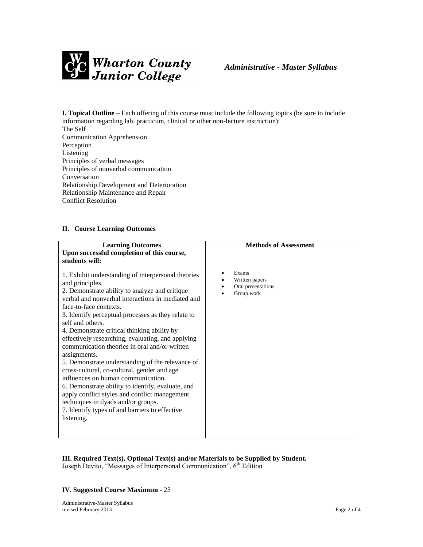

# *Administrative - Master Syllabus*

**I. Topical Outline** – Each offering of this course must include the following topics (be sure to include information regarding lab, practicum, clinical or other non-lecture instruction): The Self Communication Apprehension

Perception Listening Principles of verbal messages Principles of nonverbal communication Conversation Relationship Development and Deterioration Relationship Maintenance and Repair Conflict Resolution

## **II. Course Learning Outcomes**

| <b>Learning Outcomes</b><br>Upon successful completion of this course,<br>students will:                                                                                                                                                                                                                                                                                                                                                                                                                                                                                                                                                                                                                                                                                                                   | <b>Methods of Assessment</b>                                     |
|------------------------------------------------------------------------------------------------------------------------------------------------------------------------------------------------------------------------------------------------------------------------------------------------------------------------------------------------------------------------------------------------------------------------------------------------------------------------------------------------------------------------------------------------------------------------------------------------------------------------------------------------------------------------------------------------------------------------------------------------------------------------------------------------------------|------------------------------------------------------------------|
| 1. Exhibit understanding of interpersonal theories<br>and principles.<br>2. Demonstrate ability to analyze and critique<br>verbal and nonverbal interactions in mediated and<br>face-to-face contexts.<br>3. Identify perceptual processes as they relate to<br>self and others.<br>4. Demonstrate critical thinking ability by<br>effectively researching, evaluating, and applying<br>communication theories in oral and/or written<br>assignments.<br>5. Demonstrate understanding of the relevance of<br>cross-cultural, co-cultural, gender and age<br>influences on human communication.<br>6. Demonstrate ability to identify, evaluate, and<br>apply conflict styles and conflict management<br>techniques in dyads and/or groups.<br>7. Identify types of and barriers to effective<br>listening. | Exams<br>٠<br>Written papers<br>Oral presentations<br>Group work |
|                                                                                                                                                                                                                                                                                                                                                                                                                                                                                                                                                                                                                                                                                                                                                                                                            |                                                                  |

#### **III. Required Text(s), Optional Text(s) and/or Materials to be Supplied by Student.** Joseph Devito, "Messages of Interpersonal Communication", 6<sup>th</sup> Edition

## **IV. Suggested Course Maximum** - 25

Administrative-Master Syllabus revised February 2013 Page 2 of 4